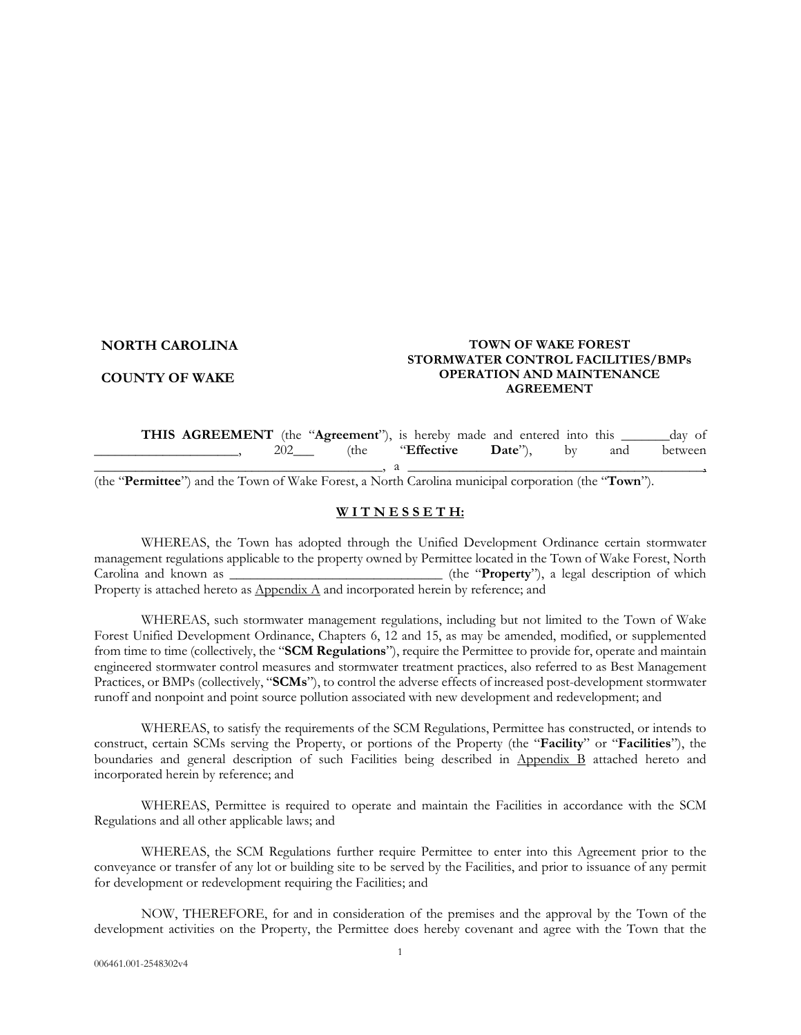#### **NORTH CAROLINA**

#### **COUNTY OF WAKE**

#### **TOWN OF WAKE FOREST STORMWATER CONTROL FACILITIES/BMPs OPERATION AND MAINTENANCE AGREEMENT**

**THIS AGREEMENT** (the "**Agreement**"), is hereby made and entered into this alay of \_\_\_\_\_\_\_\_\_\_\_\_\_\_\_\_\_\_\_\_\_, 202\_\_\_ (the "**Effective Date**"), by and between  $\_$  , a  $\_$  , a  $\_$  , a  $\_$  , a  $\_$  , a  $\_$  , a  $\_$  , a  $\_$  , and a set of  $\rightarrow$  , and  $\rightarrow$ 

(the "**Permittee**") and the Town of Wake Forest, a North Carolina municipal corporation (the "**Town**").

#### **W I T N E S S E T H:**

WHEREAS, the Town has adopted through the Unified Development Ordinance certain stormwater management regulations applicable to the property owned by Permittee located in the Town of Wake Forest, North Carolina and known as \_\_\_\_\_\_\_\_\_\_\_\_\_\_\_\_\_\_\_\_\_\_\_\_\_\_\_\_\_\_\_ (the "**Property**"), a legal description of which Property is attached hereto as  $\Delta$ ppendix  $\Delta$  and incorporated herein by reference; and

WHEREAS, such stormwater management regulations, including but not limited to the Town of Wake Forest Unified Development Ordinance, Chapters 6, 12 and 15, as may be amended, modified, or supplemented from time to time (collectively, the "**SCM Regulations**"), require the Permittee to provide for, operate and maintain engineered stormwater control measures and stormwater treatment practices, also referred to as Best Management Practices, or BMPs (collectively, "**SCMs**"), to control the adverse effects of increased post-development stormwater runoff and nonpoint and point source pollution associated with new development and redevelopment; and

 WHEREAS, to satisfy the requirements of the SCM Regulations, Permittee has constructed, or intends to construct, certain SCMs serving the Property, or portions of the Property (the "**Facility**" or "**Facilities**"), the boundaries and general description of such Facilities being described in Appendix B attached hereto and incorporated herein by reference; and

WHEREAS, Permittee is required to operate and maintain the Facilities in accordance with the SCM Regulations and all other applicable laws; and

WHEREAS, the SCM Regulations further require Permittee to enter into this Agreement prior to the conveyance or transfer of any lot or building site to be served by the Facilities, and prior to issuance of any permit for development or redevelopment requiring the Facilities; and

NOW, THEREFORE, for and in consideration of the premises and the approval by the Town of the development activities on the Property, the Permittee does hereby covenant and agree with the Town that the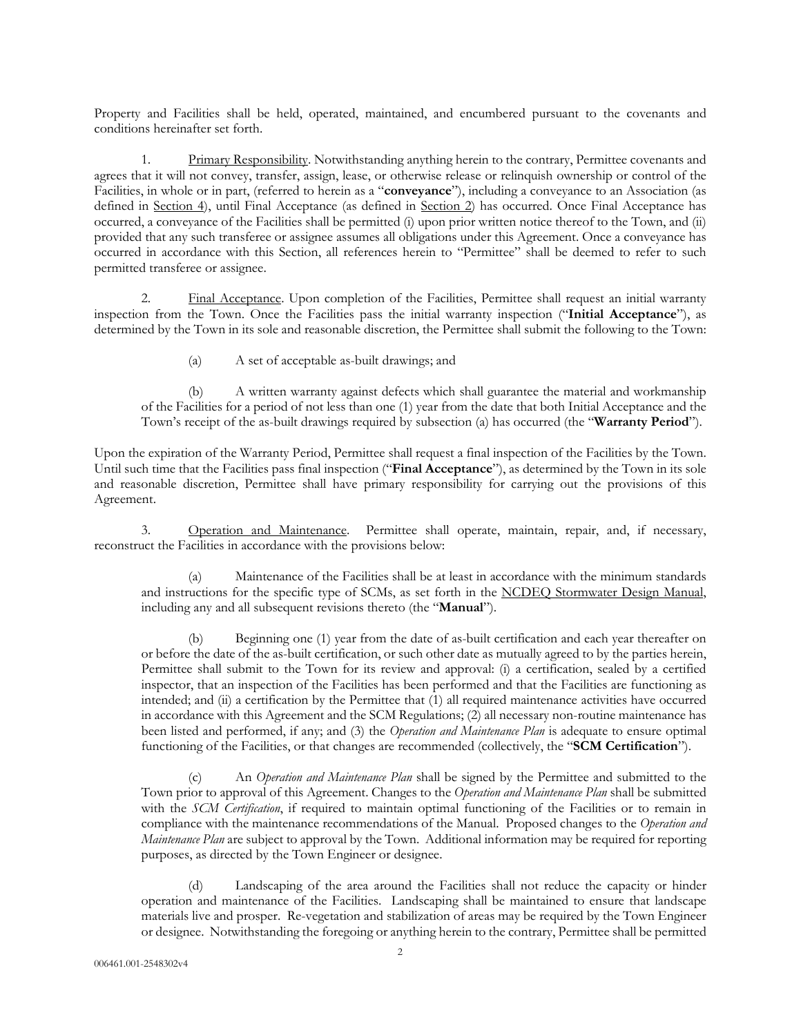Property and Facilities shall be held, operated, maintained, and encumbered pursuant to the covenants and conditions hereinafter set forth.

1. Primary Responsibility. Notwithstanding anything herein to the contrary, Permittee covenants and agrees that it will not convey, transfer, assign, lease, or otherwise release or relinquish ownership or control of the Facilities, in whole or in part, (referred to herein as a "**conveyance**"), including a conveyance to an Association (as defined in Section 4), until Final Acceptance (as defined in Section 2) has occurred. Once Final Acceptance has occurred, a conveyance of the Facilities shall be permitted (i) upon prior written notice thereof to the Town, and (ii) provided that any such transferee or assignee assumes all obligations under this Agreement. Once a conveyance has occurred in accordance with this Section, all references herein to "Permittee" shall be deemed to refer to such permitted transferee or assignee.

2. Final Acceptance. Upon completion of the Facilities, Permittee shall request an initial warranty inspection from the Town. Once the Facilities pass the initial warranty inspection ("**Initial Acceptance**"), as determined by the Town in its sole and reasonable discretion, the Permittee shall submit the following to the Town:

(a) A set of acceptable as-built drawings; and

(b) A written warranty against defects which shall guarantee the material and workmanship of the Facilities for a period of not less than one (1) year from the date that both Initial Acceptance and the Town's receipt of the as-built drawings required by subsection (a) has occurred (the "**Warranty Period**").

Upon the expiration of the Warranty Period, Permittee shall request a final inspection of the Facilities by the Town. Until such time that the Facilities pass final inspection ("**Final Acceptance**"), as determined by the Town in its sole and reasonable discretion, Permittee shall have primary responsibility for carrying out the provisions of this Agreement.

3. Operation and Maintenance. Permittee shall operate, maintain, repair, and, if necessary, reconstruct the Facilities in accordance with the provisions below:

(a) Maintenance of the Facilities shall be at least in accordance with the minimum standards and instructions for the specific type of SCMs, as set forth in the NCDEQ Stormwater Design Manual, including any and all subsequent revisions thereto (the "**Manual**").

(b) Beginning one (1) year from the date of as-built certification and each year thereafter on or before the date of the as-built certification, or such other date as mutually agreed to by the parties herein, Permittee shall submit to the Town for its review and approval: (i) a certification, sealed by a certified inspector, that an inspection of the Facilities has been performed and that the Facilities are functioning as intended; and (ii) a certification by the Permittee that (1) all required maintenance activities have occurred in accordance with this Agreement and the SCM Regulations; (2) all necessary non-routine maintenance has been listed and performed, if any; and (3) the *Operation and Maintenance Plan* is adequate to ensure optimal functioning of the Facilities, or that changes are recommended (collectively, the "**SCM Certification**").

(c) An *Operation and Maintenance Plan* shall be signed by the Permittee and submitted to the Town prior to approval of this Agreement. Changes to the *Operation and Maintenance Plan* shall be submitted with the *SCM Certification*, if required to maintain optimal functioning of the Facilities or to remain in compliance with the maintenance recommendations of the Manual. Proposed changes to the *Operation and Maintenance Plan* are subject to approval by the Town. Additional information may be required for reporting purposes, as directed by the Town Engineer or designee.

(d) Landscaping of the area around the Facilities shall not reduce the capacity or hinder operation and maintenance of the Facilities. Landscaping shall be maintained to ensure that landscape materials live and prosper. Re-vegetation and stabilization of areas may be required by the Town Engineer or designee. Notwithstanding the foregoing or anything herein to the contrary, Permittee shall be permitted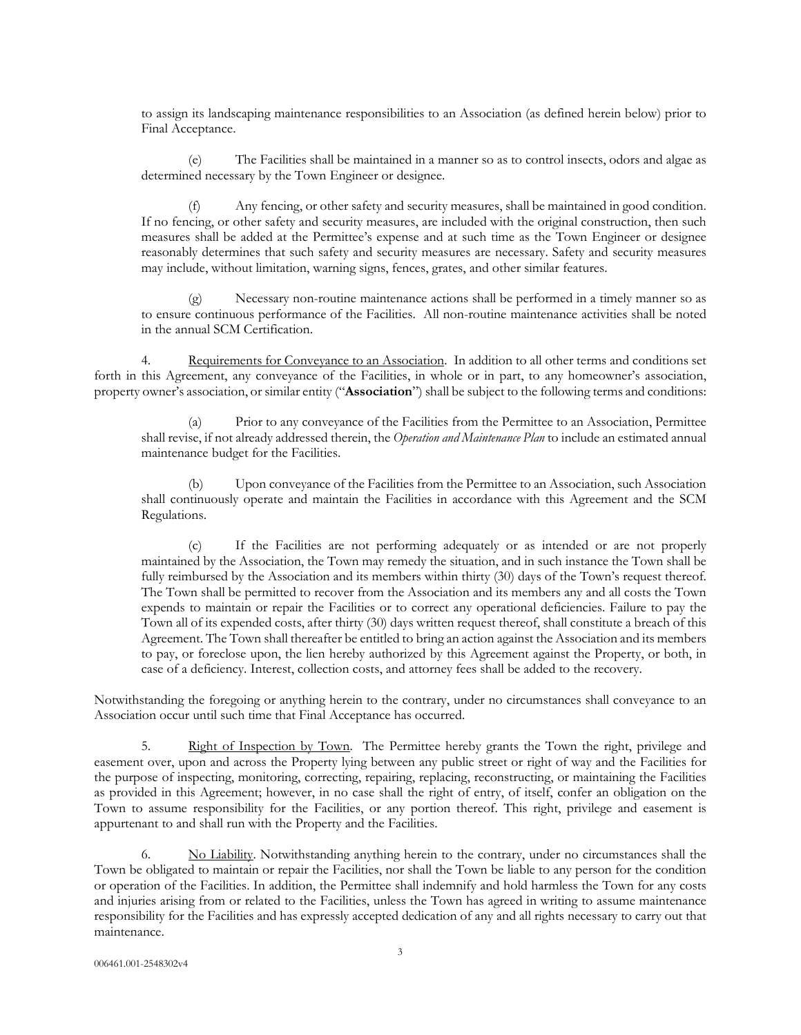to assign its landscaping maintenance responsibilities to an Association (as defined herein below) prior to Final Acceptance.

(e) The Facilities shall be maintained in a manner so as to control insects, odors and algae as determined necessary by the Town Engineer or designee.

(f) Any fencing, or other safety and security measures, shall be maintained in good condition. If no fencing, or other safety and security measures, are included with the original construction, then such measures shall be added at the Permittee's expense and at such time as the Town Engineer or designee reasonably determines that such safety and security measures are necessary. Safety and security measures may include, without limitation, warning signs, fences, grates, and other similar features.

Necessary non-routine maintenance actions shall be performed in a timely manner so as to ensure continuous performance of the Facilities. All non-routine maintenance activities shall be noted in the annual SCM Certification.

4. Requirements for Conveyance to an Association. In addition to all other terms and conditions set forth in this Agreement, any conveyance of the Facilities, in whole or in part, to any homeowner's association, property owner's association, or similar entity ("**Association**") shall be subject to the following terms and conditions:

(a) Prior to any conveyance of the Facilities from the Permittee to an Association, Permittee shall revise, if not already addressed therein, the *Operation and Maintenance Plan* to include an estimated annual maintenance budget for the Facilities.

(b) Upon conveyance of the Facilities from the Permittee to an Association, such Association shall continuously operate and maintain the Facilities in accordance with this Agreement and the SCM Regulations.

(c) If the Facilities are not performing adequately or as intended or are not properly maintained by the Association, the Town may remedy the situation, and in such instance the Town shall be fully reimbursed by the Association and its members within thirty (30) days of the Town's request thereof. The Town shall be permitted to recover from the Association and its members any and all costs the Town expends to maintain or repair the Facilities or to correct any operational deficiencies. Failure to pay the Town all of its expended costs, after thirty (30) days written request thereof, shall constitute a breach of this Agreement. The Town shall thereafter be entitled to bring an action against the Association and its members to pay, or foreclose upon, the lien hereby authorized by this Agreement against the Property, or both, in case of a deficiency. Interest, collection costs, and attorney fees shall be added to the recovery.

Notwithstanding the foregoing or anything herein to the contrary, under no circumstances shall conveyance to an Association occur until such time that Final Acceptance has occurred.

5. Right of Inspection by Town. The Permittee hereby grants the Town the right, privilege and easement over, upon and across the Property lying between any public street or right of way and the Facilities for the purpose of inspecting, monitoring, correcting, repairing, replacing, reconstructing, or maintaining the Facilities as provided in this Agreement; however, in no case shall the right of entry, of itself, confer an obligation on the Town to assume responsibility for the Facilities, or any portion thereof. This right, privilege and easement is appurtenant to and shall run with the Property and the Facilities.

 6. No Liability. Notwithstanding anything herein to the contrary, under no circumstances shall the Town be obligated to maintain or repair the Facilities, nor shall the Town be liable to any person for the condition or operation of the Facilities. In addition, the Permittee shall indemnify and hold harmless the Town for any costs and injuries arising from or related to the Facilities, unless the Town has agreed in writing to assume maintenance responsibility for the Facilities and has expressly accepted dedication of any and all rights necessary to carry out that maintenance.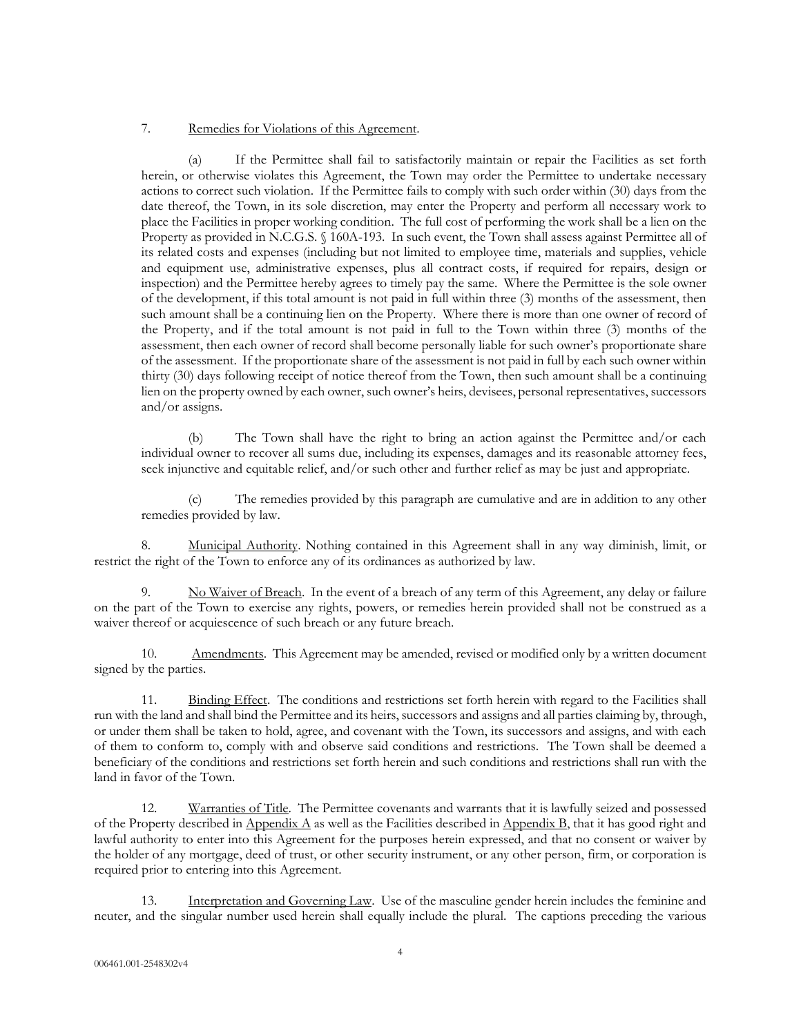#### 7. Remedies for Violations of this Agreement.

(a) If the Permittee shall fail to satisfactorily maintain or repair the Facilities as set forth herein, or otherwise violates this Agreement, the Town may order the Permittee to undertake necessary actions to correct such violation. If the Permittee fails to comply with such order within (30) days from the date thereof, the Town, in its sole discretion, may enter the Property and perform all necessary work to place the Facilities in proper working condition. The full cost of performing the work shall be a lien on the Property as provided in N.C.G.S. § 160A-193. In such event, the Town shall assess against Permittee all of its related costs and expenses (including but not limited to employee time, materials and supplies, vehicle and equipment use, administrative expenses, plus all contract costs, if required for repairs, design or inspection) and the Permittee hereby agrees to timely pay the same. Where the Permittee is the sole owner of the development, if this total amount is not paid in full within three (3) months of the assessment, then such amount shall be a continuing lien on the Property. Where there is more than one owner of record of the Property, and if the total amount is not paid in full to the Town within three (3) months of the assessment, then each owner of record shall become personally liable for such owner's proportionate share of the assessment. If the proportionate share of the assessment is not paid in full by each such owner within thirty (30) days following receipt of notice thereof from the Town, then such amount shall be a continuing lien on the property owned by each owner, such owner's heirs, devisees, personal representatives, successors and/or assigns.

(b) The Town shall have the right to bring an action against the Permittee and/or each individual owner to recover all sums due, including its expenses, damages and its reasonable attorney fees, seek injunctive and equitable relief, and/or such other and further relief as may be just and appropriate.

(c) The remedies provided by this paragraph are cumulative and are in addition to any other remedies provided by law.

Municipal Authority. Nothing contained in this Agreement shall in any way diminish, limit, or restrict the right of the Town to enforce any of its ordinances as authorized by law.

9. No Waiver of Breach. In the event of a breach of any term of this Agreement, any delay or failure on the part of the Town to exercise any rights, powers, or remedies herein provided shall not be construed as a waiver thereof or acquiescence of such breach or any future breach.

10. Amendments. This Agreement may be amended, revised or modified only by a written document signed by the parties.

11. Binding Effect. The conditions and restrictions set forth herein with regard to the Facilities shall run with the land and shall bind the Permittee and its heirs, successors and assigns and all parties claiming by, through, or under them shall be taken to hold, agree, and covenant with the Town, its successors and assigns, and with each of them to conform to, comply with and observe said conditions and restrictions. The Town shall be deemed a beneficiary of the conditions and restrictions set forth herein and such conditions and restrictions shall run with the land in favor of the Town.

12. Warranties of Title. The Permittee covenants and warrants that it is lawfully seized and possessed of the Property described in Appendix A as well as the Facilities described in Appendix B, that it has good right and lawful authority to enter into this Agreement for the purposes herein expressed, and that no consent or waiver by the holder of any mortgage, deed of trust, or other security instrument, or any other person, firm, or corporation is required prior to entering into this Agreement.

13. Interpretation and Governing Law. Use of the masculine gender herein includes the feminine and neuter, and the singular number used herein shall equally include the plural. The captions preceding the various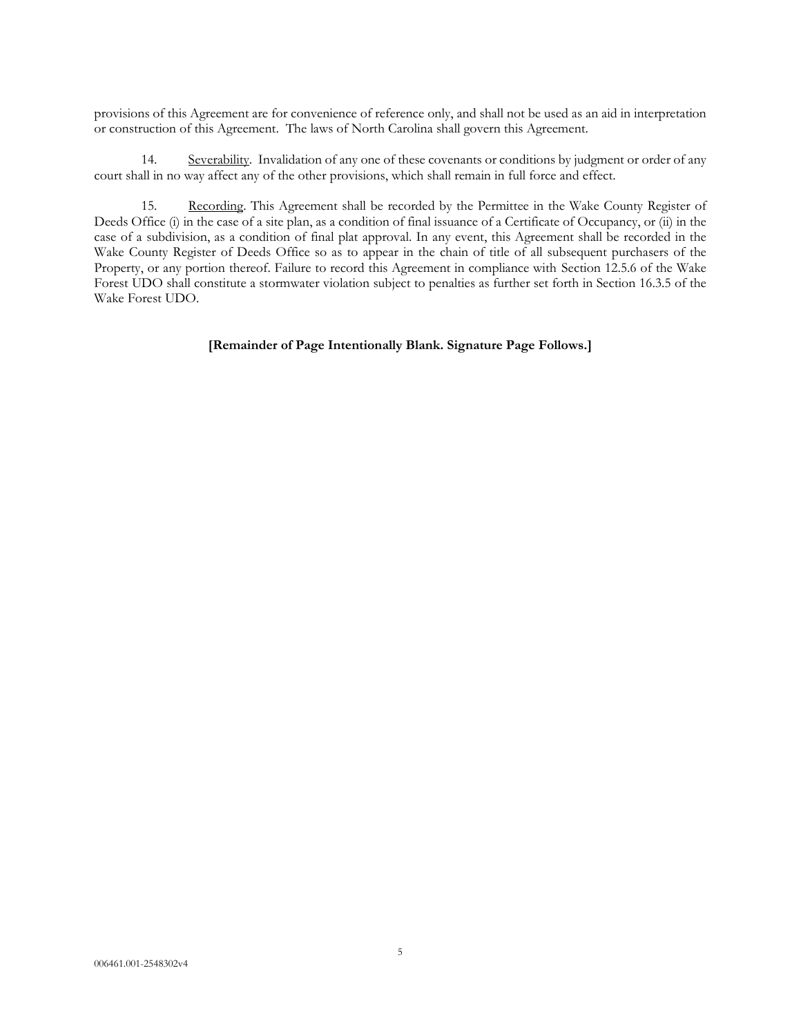provisions of this Agreement are for convenience of reference only, and shall not be used as an aid in interpretation or construction of this Agreement. The laws of North Carolina shall govern this Agreement.

14. Severability. Invalidation of any one of these covenants or conditions by judgment or order of any court shall in no way affect any of the other provisions, which shall remain in full force and effect.

15. Recording. This Agreement shall be recorded by the Permittee in the Wake County Register of Deeds Office (i) in the case of a site plan, as a condition of final issuance of a Certificate of Occupancy, or (ii) in the case of a subdivision, as a condition of final plat approval. In any event, this Agreement shall be recorded in the Wake County Register of Deeds Office so as to appear in the chain of title of all subsequent purchasers of the Property, or any portion thereof. Failure to record this Agreement in compliance with Section 12.5.6 of the Wake Forest UDO shall constitute a stormwater violation subject to penalties as further set forth in Section 16.3.5 of the Wake Forest UDO.

#### **[Remainder of Page Intentionally Blank. Signature Page Follows.]**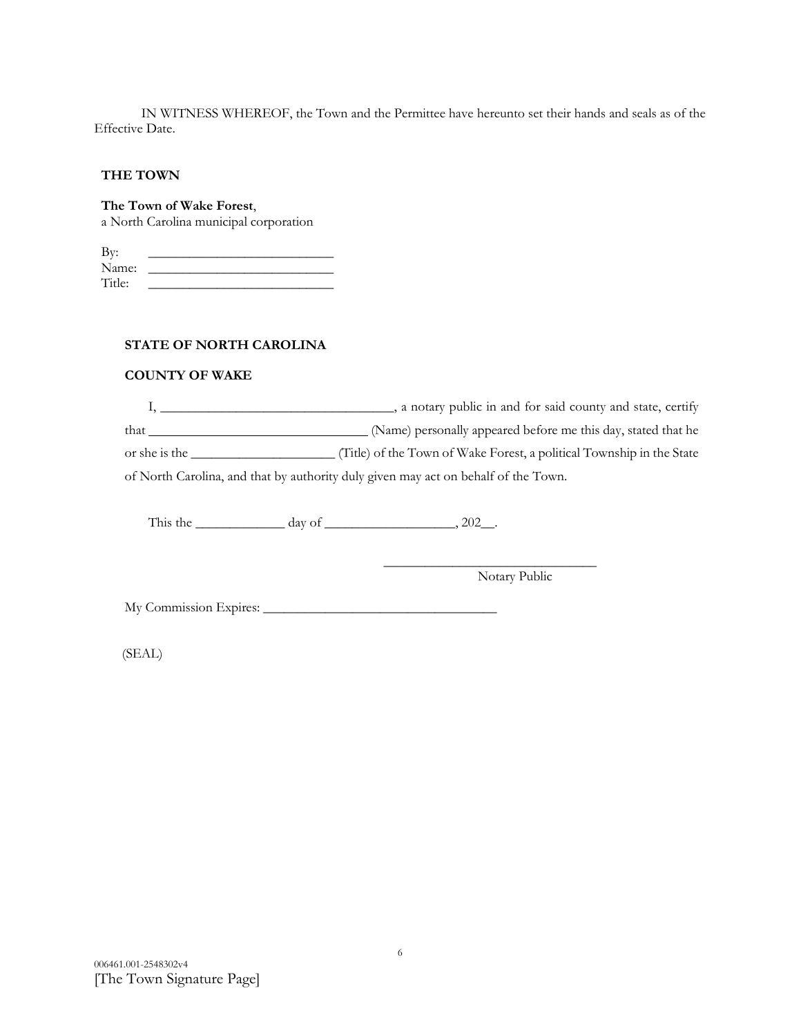IN WITNESS WHEREOF, the Town and the Permittee have hereunto set their hands and seals as of the Effective Date.

### **THE TOWN**

**The Town of Wake Forest**,

a North Carolina municipal corporation

| By:    |  |
|--------|--|
| Name:  |  |
| Title: |  |

## **STATE OF NORTH CAROLINA**

## **COUNTY OF WAKE**

I, \_\_\_\_\_\_\_\_\_\_\_\_\_\_\_\_\_\_\_\_\_\_\_\_\_\_\_\_\_\_\_\_, a notary public in and for said county and state, certify that (Name) personally appeared before me this day, stated that he or she is the \_\_\_\_\_\_\_\_\_\_\_\_\_\_\_\_\_\_\_\_\_ (Title) of the Town of Wake Forest, a political Township in the State of North Carolina, and that by authority duly given may act on behalf of the Town.

This the  $\_\_\_\_\_\_\_\$  day of  $\_\_\_\_\_\_\_\_\_\_\_$ , 202 $\_\_\_\_\_\_\_$ .

 $\frac{1}{\sqrt{2}}$  ,  $\frac{1}{\sqrt{2}}$  ,  $\frac{1}{\sqrt{2}}$  ,  $\frac{1}{\sqrt{2}}$  ,  $\frac{1}{\sqrt{2}}$  ,  $\frac{1}{\sqrt{2}}$  ,  $\frac{1}{\sqrt{2}}$  ,  $\frac{1}{\sqrt{2}}$  ,  $\frac{1}{\sqrt{2}}$  ,  $\frac{1}{\sqrt{2}}$  ,  $\frac{1}{\sqrt{2}}$  ,  $\frac{1}{\sqrt{2}}$  ,  $\frac{1}{\sqrt{2}}$  ,  $\frac{1}{\sqrt{2}}$  ,  $\frac{1}{\sqrt{2}}$ Notary Public

My Commission Expires: \_\_\_\_\_\_\_\_\_\_\_\_\_\_\_\_\_\_\_\_\_\_\_\_\_\_\_\_\_\_\_\_\_\_

(SEAL)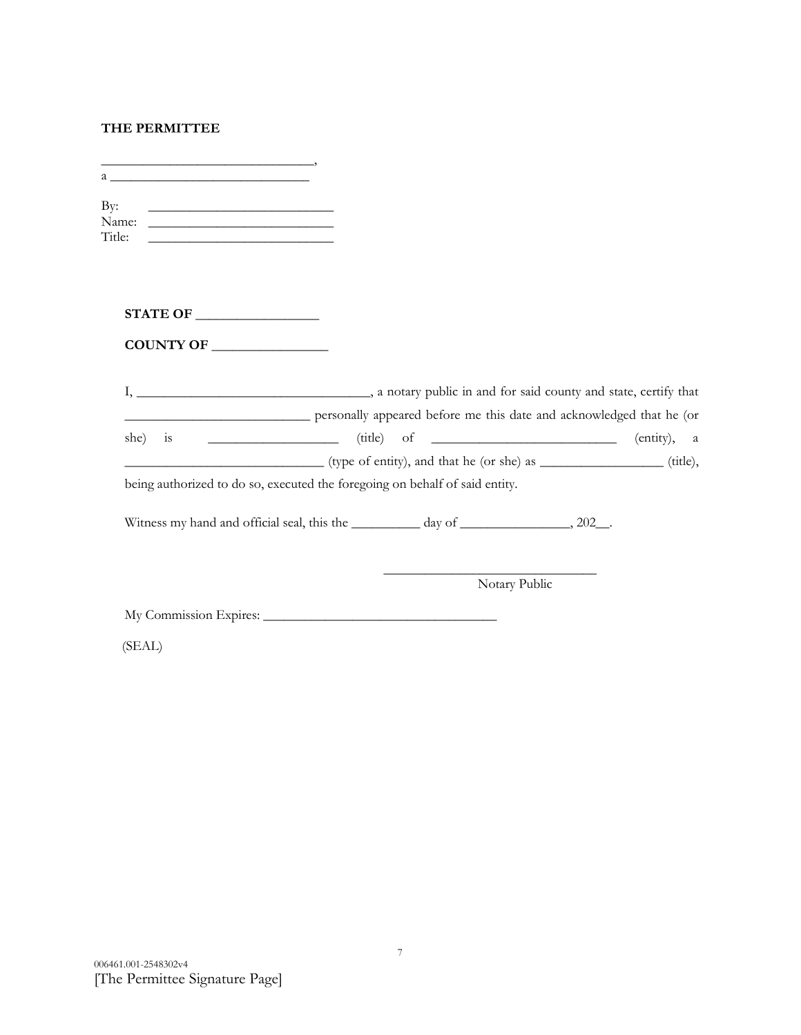# **THE PERMITTEE**

| Name:<br>Title:<br><u> 1989 - Johann Barbara, martin amerikan personal (</u>                    |               |             |
|-------------------------------------------------------------------------------------------------|---------------|-------------|
|                                                                                                 |               |             |
| COUNTY OF                                                                                       |               |             |
|                                                                                                 |               |             |
| personally appeared before me this date and acknowledged that he (or<br>she)<br>$\overline{1}S$ |               | (entity), a |
| (type of entity), and that he (or she) as _______________(title),                               |               |             |
| being authorized to do so, executed the foregoing on behalf of said entity.                     |               |             |
| Witness my hand and official seal, this the __________ day of ________________, 202__.          |               |             |
|                                                                                                 | Notary Public |             |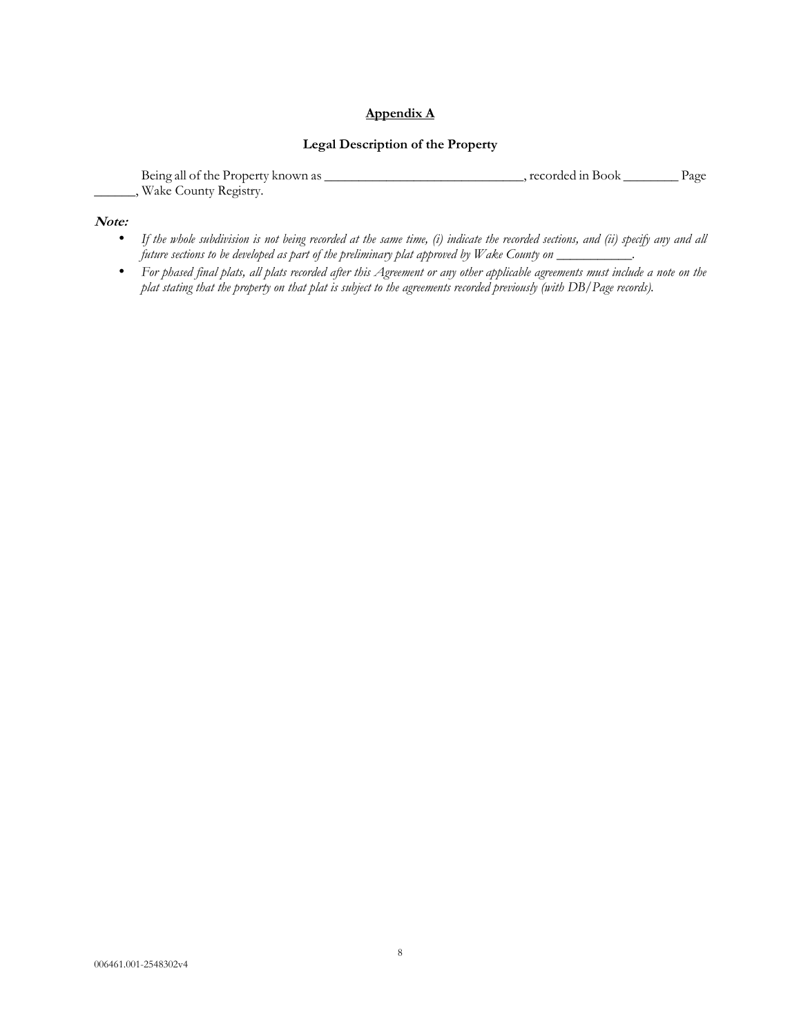## **Appendix A**

## **Legal Description of the Property**

| Being all of the Property known as | recorded in Book . | Page |
|------------------------------------|--------------------|------|
| Wake County Registry.              |                    |      |

#### **Note:**

- *If the whole subdivision is not being recorded at the same time, (i) indicate the recorded sections, and (ii) specify any and all future sections to be developed as part of the preliminary plat approved by Wake County on \_\_\_\_\_\_\_\_\_\_\_.*
- *For phased final plats, all plats recorded after this Agreement or any other applicable agreements must include a note on the plat stating that the property on that plat is subject to the agreements recorded previously (with DB/Page records).*